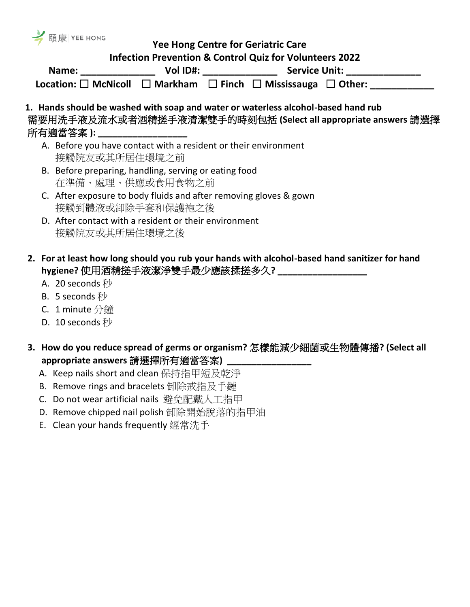| <b>M</b> 頤康 YEE HONG                                                      |                          |                                                                                                       |  |
|---------------------------------------------------------------------------|--------------------------|-------------------------------------------------------------------------------------------------------|--|
|                                                                           |                          | <b>Yee Hong Centre for Geriatric Care</b>                                                             |  |
| <b>Infection Prevention &amp; Control Quiz for Volunteers 2022</b>        |                          |                                                                                                       |  |
|                                                                           | Vol ID#: _______________ | <b>Service Unit: Example 18 Service Unit:</b>                                                         |  |
|                                                                           |                          | Location: $\square$ McNicoll $\square$ Markham $\square$ Finch $\square$ Mississauga $\square$ Other: |  |
|                                                                           |                          | 1. Hands should be washed with soap and water or waterless alcohol-based hand rub                     |  |
|                                                                           |                          | 需要用洗手液及流水或者酒精搓手液清潔雙手的時刻包括 (Select all appropriate answers 請選擇                                         |  |
| 所有適當答案 ): ___________________                                             |                          |                                                                                                       |  |
| A Defensive development existent with a model state of the function model |                          |                                                                                                       |  |

- A. Before you have contact with a resident or their environment 接觸院友或其所居住環境之前
- B. Before preparing, handling, serving or eating food 在準備、處理、供應或食用食物之前
- C. After exposure to body fluids and after removing gloves & gown 接觸到體液或卸除手套和保護袍之後
- D. After contact with a resident or their environment 接觸院友或其所居住環境之後
- **2. For at least how long should you rub your hands with alcohol-based hand sanitizer for hand hygiene?** 使用酒精搓手液潔淨雙手最少應該揉搓多久**? \_\_\_\_\_\_\_\_\_\_\_\_\_\_\_\_\_\_**
	- A. 20 seconds 秒
	- B. 5 seconds 秒
	- C. 1 minute 分鐘
	- D. 10 seconds 秒
- **3. How do you reduce spread of germs or organism?** 怎樣能減少細菌或生物體傳播**? (Select all appropriate answers** 請選擇所有適當答案**) \_\_\_\_\_\_\_\_\_\_\_\_\_\_\_\_\_**
	- A. Keep nails short and clean 保持指甲短及乾淨
	- B. Remove rings and bracelets 卸除戒指及手鏈
	- C. Do not wear artificial nails 避免配戴人工指甲
	- D. Remove chipped nail polish 卸除開始脫落的指甲油
	- E. Clean your hands frequently 經常洗手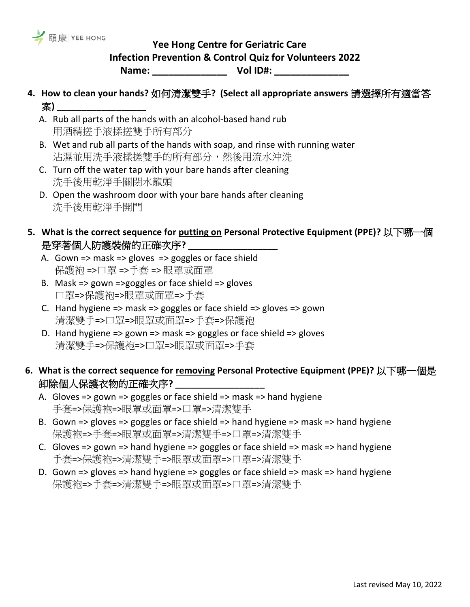

## **Yee Hong Centre for Geriatric Care**

**Infection Prevention & Control Quiz for Volunteers 2022**

**Name: \_\_\_\_\_\_\_\_\_\_\_\_\_\_ Vol ID#: \_\_\_\_\_\_\_\_\_\_\_\_\_\_** 

- **4. How to clean your hands?** 如何清潔雙手**? (Select all appropriate answers** 請選擇所有適當答 案**) \_\_\_\_\_\_\_\_\_\_\_\_\_\_\_\_\_\_**
	- A. Rub all parts of the hands with an alcohol-based hand rub 用酒精搓手液揉搓雙手所有部分
	- B. Wet and rub all parts of the hands with soap, and rinse with running water 沾濕並用洗手液揉搓雙手的所有部分,然後用流水沖洗
	- C. Turn off the water tap with your bare hands after cleaning 洗手後用乾淨手關閉水龍頭
	- D. Open the washroom door with your bare hands after cleaning 洗手後用乾淨手開門
- **5. What is the correct sequence for putting on Personal Protective Equipment (PPE)?** 以下哪一個 是穿著個人防護裝備的正確次序?
	- A. Gown => mask => gloves => goggles or face shield 保護袍 =>口罩 =>手套 => 眼罩或面罩
	- B. Mask => gown =>goggles or face shield => gloves 口罩=>保護袍=>眼罩或面罩=>手套
	- C. Hand hygiene => mask => goggles or face shield => gloves => gown 清潔雙手=>口罩=>眼罩或面罩=>手套=>保護袍
	- D. Hand hygiene => gown => mask => goggles or face shield => gloves 清潔雙手=>保護袍=>口罩=>眼罩或面罩=>手套

## **6. What is the correct sequence for removing Personal Protective Equipment (PPE)?** 以下哪一個是 卸除個人保護衣物的正確次序**? \_\_\_\_\_\_\_\_\_\_\_\_\_\_\_\_\_\_**

- A. Gloves => gown => goggles or face shield => mask => hand hygiene 手套=>保護袍=>眼罩或面罩=>口罩=>清潔雙手
- B. Gown => gloves => goggles or face shield => hand hygiene => mask => hand hygiene 保護袍=>手套=>眼罩或面罩=>清潔雙手=>口罩=>清潔雙手
- C. Gloves => gown => hand hygiene => goggles or face shield => mask => hand hygiene 手套=>保護袍=>清潔雙手=>眼罩或面罩=>口罩=>清潔雙手
- D. Gown => gloves => hand hygiene => goggles or face shield => mask => hand hygiene 保護袍=>手套=>清潔雙手=>眼罩或面罩=>口罩=>清潔雙手